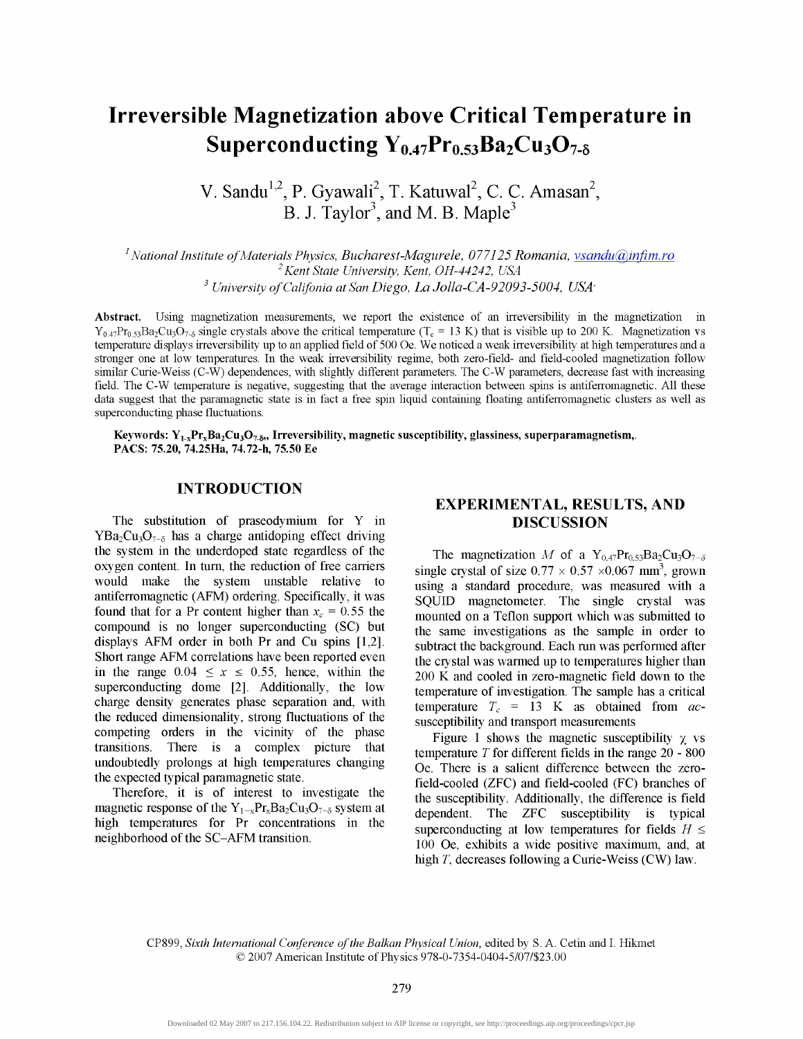# **Irreversible Magnetization above Critical Temperature in Superconducting**  $Y_{0.47}Pr_{0.53}Ba_2Cu_3O_{7-8}$

 $12 \times 2 \times 12 \times 12 \times 2$ V. Sandu  $\left($ , P. Gyawan , T. Katuwal , C. C. Amasan ,  $B. J. Taylor<sup>3</sup>$ , and M. B. Maple<sup>3</sup>

*1 National Institute of Materials Physics, Bucharest-Magurele, 077125 Romania, vsandu(a),infim. ro 2 Kent State University, Kent, OH-44242, USA*  <sup>3</sup> University of Califonia at San Diego, La Jolla-CA-92093-5004, USA<sup>,</sup>

Abstract. Using magnetization measurements, we report the existence of an irreversibility in the magnetization in  $Y_{0.47}Pr_{0.53}Ba_2Cu_3O_{7-8}$  single crystals above the critical temperature (T<sub>c</sub> = 13 K) that is visible up to 200 K. Magnetization vs temperature displays irreversibility up to an applied field of 500 Oe. We noticed a weak irreversibility at high temperatures and a stronger one at low temperatures. In the weak irreversibility regime, both zero-field- and field-cooled magnetization follow similar Curie-Weiss (C-W) dependences, with slightly different parameters. The C-W parameters, decrease fast with increasing field. The C-W temperature is negative, suggesting that the average interaction between spins is antiferromagnetic. All these data suggest that the paramagnetic state is in fact a free spin liquid containing floating antiferromagnetic clusters as well as superconducting phase fluctuations.

Keywords:  $Y_{1-x}P_{x}Ba_2Cu_3O_{7-8}$ , Irreversibility, magnetic susceptibility, glassiness, superparamagnetism,. PACS: 75.20, 74.25Ha, 74.72-h, 75.50 Ee

## INTRODUCTION

The substitution of praseodymium for Y in  $YBa<sub>2</sub>Cu<sub>3</sub>O<sub>7-δ</sub>$  has a charge antidoping effect driving the system in the underdoped state regardless of the oxygen content. In turn, the reduction of free carriers would make the system unstable relative to antiferromagnetic (AFM) ordering. Specifically, it was found that for a Pr content higher than  $x_c = 0.55$  the compound is no longer superconducting (SC) but displays AFM order in both Pr and Cu spins [1,2]. Short range AFM correlations have been reported even in the range  $0.04 \le x \le 0.55$ , hence, within the superconducting dome [2]. Additionally, the low charge density generates phase separation and, with the reduced dimensionality, strong fluctuations of the competing orders in the vicinity of the phase transitions. There is a complex picture that undoubtedly prolongs at high temperatures changing the expected typical paramagnetic state.

Therefore, it is of interest to investigate the magnetic response of the  $Y_{1-x}Pr_xBa_2Cu_3O_{7-\delta}$  system at high temperatures for Pr concentrations in the neighborhood of the SC-AFM transition.

## EXPERIMENTAL, RESULTS, AND DISCUSSION

The magnetization *M* of a Y<sub>0.47</sub>Pr<sub>0.53</sub>Ba<sub>2</sub>Cu<sub>3</sub>O<sub>7- $\delta$ </sub> single crystal of size  $0.77 \times 0.57 \times 0.067$  mm<sup>3</sup>, grown using a standard procedure, was measured with a SQUID magnetometer. The single crystal was mounted on a Teflon support which was submitted to the same investigations as the sample in order to subtract the background. Each run was performed after the crystal was warmed up to temperatures higher than 200 K and cooled in zero-magnetic field down to the temperature of investigation. The sample has a critical temperature  $T_c = 13$  K as obtained from *ac*susceptibility and transport measurements

Figure 1 shows the magnetic susceptibility  $\chi$  vs temperature *T* for different fields in the range 20 - 800 Oe. There is a salient difference between the zerofield-cooled (ZFC) and field-cooled (FC) branches of the susceptibility. Additionally, the difference is field dependent. The ZFC susceptibility is typical superconducting at low temperatures for fields  $H \leq$ 100 Oe, exhibits a wide positive maximum, and, at high *T,* decreases following a Curie-Weiss (CW) law.

CP899, *Sixth International Conference of the Balkan Physical Union,* edited by S. A. Cetin and I. Hikmet © 2007 American Institute of Physics 978-0-7354-0404-5/07/\$23.00